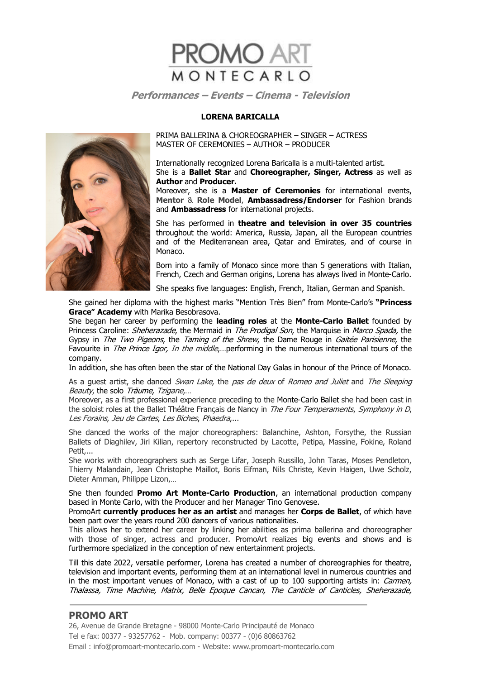

#### **LORENA BARICALLA**



PRIMA BALLERINA & CHOREOGRAPHER – SINGER – ACTRESS MASTER OF CEREMONIES – AUTHOR – PRODUCER

Internationally recognized Lorena Baricalla is a multi-talented artist. She is a **Ballet Star** and **Choreographer, Singer, Actress** as well as **Author** and **Producer.** 

Moreover, she is a **Master of Ceremonies** for international events, **Mentor** & **Role Model**, **Ambassadress/Endorser** for Fashion brands and **Ambassadress** for international projects.

She has performed in **theatre and television in over 35 countries** throughout the world: America, Russia, Japan, all the European countries and of the Mediterranean area, Qatar and Emirates, and of course in Monaco.

Born into a family of Monaco since more than 5 generations with Italian, French, Czech and German origins, Lorena has always lived in Monte-Carlo.

She speaks five languages: English, French, Italian, German and Spanish.

She gained her diploma with the highest marks "Mention Très Bien" from Monte-Carlo's **"Princess Grace" Academy** with Marika Besobrasova.

She began her career by performing the **leading roles** at the **Monte-Carlo Ballet** founded by Princess Caroline: *Sheherazade*, the Mermaid in *The Prodigal Son*, the Marquise in *Marco Spada*, the Gypsy in *The Two Pigeons*, the *Taming of the Shrew*, the Dame Rouge in *Gaitée Parisienne*, the Favourite in The Prince Igor, In the middle,...performing in the numerous international tours of the company.

In addition, she has often been the star of the National Day Galas in honour of the Prince of Monaco.

As a guest artist, she danced Swan Lake, the pas de deux of Romeo and Juliet and The Sleeping Beauty, the solo Träume, Tzigane,…

Moreover, as a first professional experience preceding to the Monte-Carlo Ballet she had been cast in the soloist roles at the Ballet Théâtre Français de Nancy in The Four Temperaments, Symphony in D, Les Forains, Jeu de Cartes, Les Biches, Phaedra,...

She danced the works of the major choreographers: Balanchine, Ashton, Forsythe, the Russian Ballets of Diaghilev, Jiri Kilian, repertory reconstructed by Lacotte, Petipa, Massine, Fokine, Roland Petit,...

She works with choreographers such as Serge Lifar, Joseph Russillo, John Taras, Moses Pendleton, Thierry Malandain, Jean Christophe Maillot, Boris Eifman, Nils Christe, Kevin Haigen, Uwe Scholz, Dieter Amman, Philippe Lizon,…

She then founded **Promo Art Monte-Carlo Production**, an international production company based in Monte Carlo, with the Producer and her Manager Tino Genovese.

PromoArt **currently produces her as an artist** and manages her **Corps de Ballet**, of which have been part over the years round 200 dancers of various nationalities.

This allows her to extend her career by linking her abilities as prima ballerina and choreographer with those of singer, actress and producer. PromoArt realizes big events and shows and is furthermore specialized in the conception of new entertainment projects.

Till this date 2022, versatile performer, Lorena has created a number of choreographies for theatre, television and important events, performing them at an international level in numerous countries and in the most important venues of Monaco, with a cast of up to 100 supporting artists in: Carmen, Thalassa, Time Machine, Matrix, Belle Epoque Cancan, The Canticle of Canticles, Sheherazade,

# **PROMO ART**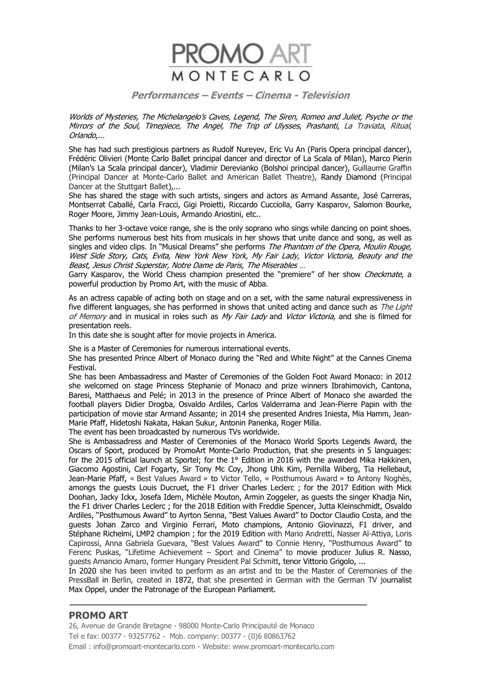

Worlds of Mysteries, The Michelangelo's Caves, Legend, The Siren, Romeo and Juliet, Psyche or the Mirrors of the Soul, Timepiece, The Angel, The Trip of Ulysses, Prashanti, La Traviata, Ritual, Orlando,...

She has had such prestigious partners as Rudolf Nureyev, Eric Vu An (Paris Opera principal dancer), Frédéric Olivieri (Monte Carlo Ballet principal dancer and director of La Scala of Milan), Marco Pierin (Milan's La Scala principal dancer), Vladimir Derevianko (Bolshoi principal dancer), Guillaume Graffin (Principal Dancer at Monte-Carlo Ballet and American Ballet Theatre), Randy Diamond (Principal Dancer at the Stuttgart Ballet),...

She has shared the stage with such artists, singers and actors as Armand Assante, José Carreras, Montserrat Caballé, Carla Fracci, Gigi Proietti, Riccardo Cucciolla, Garry Kasparov, Salomon Bourke, Roger Moore, Jimmy Jean-Louis, Armando Ariostini, etc..

Thanks to her 3-octave voice range, she is the only soprano who sings while dancing on point shoes. She performs numerous best hits from musicals in her shows that unite dance and song, as well as singles and video clips. In "Musical Dreams" she performs The Phantom of the Opera, Moulin Rouge, West Side Story, Cats, Evita, New York New York, My Fair Lady, Victor Victoria, Beauty and the Beast, Jesus Christ Superstar, Notre Dame de Paris, The Miserables …

Garry Kasparov, the World Chess champion presented the "premiere" of her show *Checkmate*, a powerful production by Promo Art, with the music of Abba.

As an actress capable of acting both on stage and on a set, with the same natural expressiveness in five different languages, she has performed in shows that united acting and dance such as *The Light* of Memory and in musical in roles such as My Fair Lady and Victor Victoria, and she is filmed for presentation reels.

In this date she is sought after for movie projects in America.

She is a Master of Ceremonies for numerous international events.

She has presented Prince Albert of Monaco during the "Red and White Night" at the Cannes Cinema Festival.

She has been Ambassadress and Master of Ceremonies of the Golden Foot Award Monaco: in 2012 she welcomed on stage Princess Stephanie of Monaco and prize winners Ibrahimovich, Cantona, Baresi, Matthaeus and Pelé; in 2013 in the presence of Prince Albert of Monaco she awarded the football players Didier Drogba, Osvaldo Ardiles, Carlos Valderrama and Jean-Pierre Papin with the participation of movie star Armand Assante; in 2014 she presented Andres Iniesta, Mia Hamm, Jean-Marie Pfaff, Hidetoshi Nakata, Hakan Sukur, Antonin Panenka, Roger Milla.

The event has been broadcasted by numerous TVs worldwide.

She is Ambassadress and Master of Ceremonies of the Monaco World Sports Legends Award, the Oscars of Sport, produced by PromoArt Monte-Carlo Production, that she presents in 5 languages: for the 2015 official launch at Sportel; for the 1° Edition in 2016 with the awarded Mika Hakkinen, Giacomo Agostini, Carl Fogarty, Sir Tony Mc Coy, Jhong Uhk Kim, Pernilla Wiberg, Tia Hellebaut, Jean-Marie Pfaff, « Best Values Award » to Victor Tello, « Posthumous Award » to Antony Noghès, amongs the guests Louis Ducruet, the F1 driver Charles Leclerc ; for the 2017 Edition with Mick Doohan, Jacky Ickx, Josefa Idem, Michèle Mouton, Armin Zoggeler, as guests the singer Khadja Nin, the F1 driver Charles Leclerc ; for the 2018 Edition with Freddie Spencer, Jutta Kleinschmidt, Osvaldo Ardiles, "Posthumous Award" to Ayrton Senna, "Best Values Award" to Doctor Claudio Costa, and the guests Johan Zarco and Virginio Ferrari, Moto champions, Antonio Giovinazzi, F1 driver, and Stéphane Richelmi, LMP2 champion ; for the 2019 Edition with Mario Andretti, Nasser Al-Attiya, Loris Capirossi, Anna Gabriela Guevara, "Best Values Award" to Connie Henry, "Posthumous Award" to Ferenc Puskas, "Lifetime Achievement – Sport and Cinema" to movie producer Julius R. Nasso, guests Amancio Amaro, former Hungary President Pal Schmitt, tenor Vittorio Grigolo, ...

In 2020 she has been invited to perform as an artist and to be the Master of Ceremonies of the PressBall in Berlin, created in 1872, that she presented in German with the German TV journalist Max Oppel, under the Patronage of the European Parliament.

# **PROMO ART**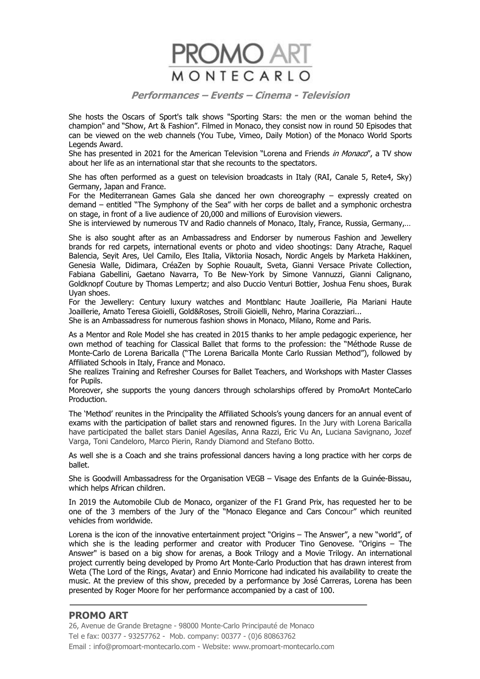

She hosts the Oscars of Sport's talk shows "Sporting Stars: the men or the woman behind the champion" and "Show, Art & Fashion". Filmed in Monaco, they consist now in round 50 Episodes that can be viewed on the web channels (You Tube, Vimeo, Daily Motion) of the Monaco World Sports Legends Award.

She has presented in 2021 for the American Television "Lorena and Friends in Monaco", a TV show about her life as an international star that she recounts to the spectators.

She has often performed as a guest on television broadcasts in Italy (RAI, Canale 5, Rete4, Sky) Germany, Japan and France.

For the Mediterranean Games Gala she danced her own choreography – expressly created on demand – entitled "The Symphony of the Sea" with her corps de ballet and a symphonic orchestra on stage, in front of a live audience of 20,000 and millions of Eurovision viewers.

She is interviewed by numerous TV and Radio channels of Monaco, Italy, France, Russia, Germany,…

She is also sought after as an Ambassadress and Endorser by numerous Fashion and Jewellery brands for red carpets, international events or photo and video shootings: Dany Atrache, Raquel Balencia, Seyit Ares, Uel Camilo, Eles Italia, Viktoriia Nosach, Nordic Angels by Marketa Hakkinen, Genesia Walle, Didimara, CréaZen by Sophie Rouault, Sveta, Gianni Versace Private Collection, Fabiana Gabellini, Gaetano Navarra, To Be New-York by Simone Vannuzzi, Gianni Calignano, Goldknopf Couture by Thomas Lempertz; and also Duccio Venturi Bottier, Joshua Fenu shoes, Burak Uyan shoes.

For the Jewellery: Century luxury watches and Montblanc Haute Joaillerie, Pia Mariani Haute Joaillerie, Amato Teresa Gioielli, Gold&Roses, Stroili Gioielli, Nehro, Marina Corazziari...

She is an Ambassadress for numerous fashion shows in Monaco, Milano, Rome and Paris.

As a Mentor and Role Model she has created in 2015 thanks to her ample pedagogic experience, her own method of teaching for Classical Ballet that forms to the profession: the "Méthode Russe de Monte-Carlo de Lorena Baricalla ("The Lorena Baricalla Monte Carlo Russian Method"), followed by Affiliated Schools in Italy, France and Monaco.

She realizes Training and Refresher Courses for Ballet Teachers, and Workshops with Master Classes for Pupils.

Moreover, she supports the young dancers through scholarships offered by PromoArt MonteCarlo Production.

The 'Method' reunites in the Principality the Affiliated Schools's young dancers for an annual event of exams with the participation of ballet stars and renowned figures. In the Jury with Lorena Baricalla have participated the ballet stars Daniel Agesilas, Anna Razzi, Eric Vu An, Luciana Savignano, Jozef Varga, Toni Candeloro, Marco Pierin, Randy Diamond and Stefano Botto.

As well she is a Coach and she trains professional dancers having a long practice with her corps de ballet.

She is Goodwill Ambassadress for the Organisation VEGB – Visage des Enfants de la Guinée-Bissau, which helps African children.

In 2019 the Automobile Club de Monaco, organizer of the F1 Grand Prix, has requested her to be one of the 3 members of the Jury of the "Monaco Elegance and Cars Concour" which reunited vehicles from worldwide.

Lorena is the icon of the innovative entertainment project "Origins – The Answer", a new "world", of which she is the leading performer and creator with Producer Tino Genovese. "Origins – The Answer" is based on a big show for arenas, a Book Trilogy and a Movie Trilogy. An international project currently being developed by Promo Art Monte-Carlo Production that has drawn interest from Weta (The Lord of the Rings, Avatar) and Ennio Morricone had indicated his availability to create the music. At the preview of this show, preceded by a performance by José Carreras, Lorena has been presented by Roger Moore for her performance accompanied by a cast of 100.

### **PROMO ART**